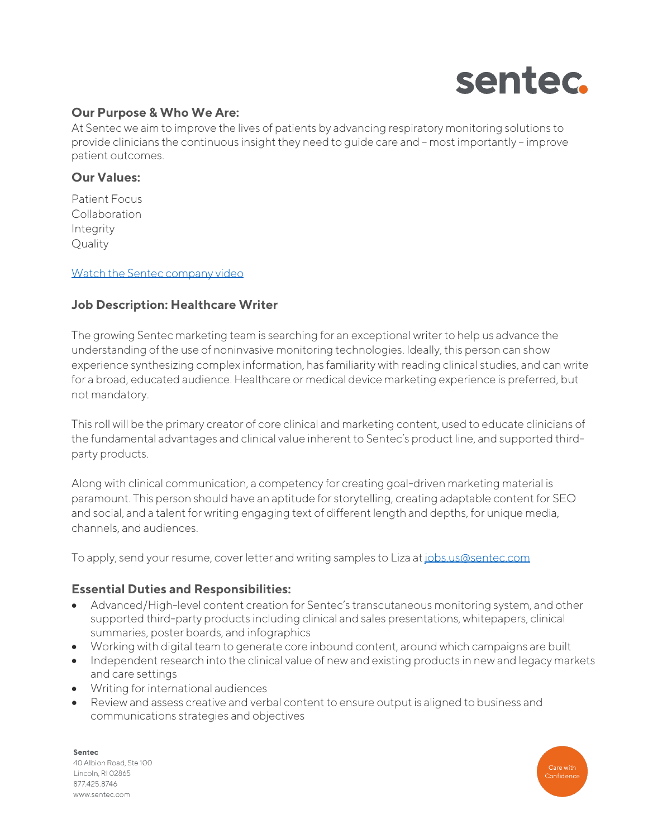

# **Our Purpose & Who We Are:**

At Sentec we aim to improve the lives of patients by advancing respiratory monitoring solutions to provide clinicians the continuous insight they need to guide care and – most importantly – improve patient outcomes.

# **Our Values:**

Patient Focus Collaboration Integrity **Quality** 

#### [Watch the Sentec company video](https://www.youtube.com/watch?v=yw2ptWs1HFI)

#### **Job Description: Healthcare Writer**

The growing Sentec marketing team is searching for an exceptional writer to help us advance the understanding of the use of noninvasive monitoring technologies. Ideally, this person can show experience synthesizing complex information, has familiarity with reading clinical studies, and can write for a broad, educated audience. Healthcare or medical device marketing experience is preferred, but not mandatory.

This roll will be the primary creator of core clinical and marketing content, used to educate clinicians of the fundamental advantages and clinical value inherent to Sentec's product line, and supported thirdparty products.

Along with clinical communication, a competency for creating goal-driven marketing material is paramount. This person should have an aptitude for storytelling, creating adaptable content for SEO and social, and a talent for writing engaging text of different length and depths, for unique media, channels, and audiences.

To apply, send your resume, cover letter and writing samples to Liza a[t jobs.us@sentec.com](mailto:jobs.us@sentec.com)

#### **Essential Duties and Responsibilities:**

- Advanced/High-level content creation for Sentec's transcutaneous monitoring system, and other supported third-party products including clinical and sales presentations, whitepapers, clinical summaries, poster boards, and infographics
- Working with digital team to generate core inbound content, around which campaigns are built
- Independent research into the clinical value of new and existing products in new and legacy markets and care settings
- Writing for international audiences
- Review and assess creative and verbal content to ensure output is aligned to business and communications strategies and objectives

Sentec 40 Albion Road, Ste 100 Lincoln, RI 02865 8774258746 www.sentec.com